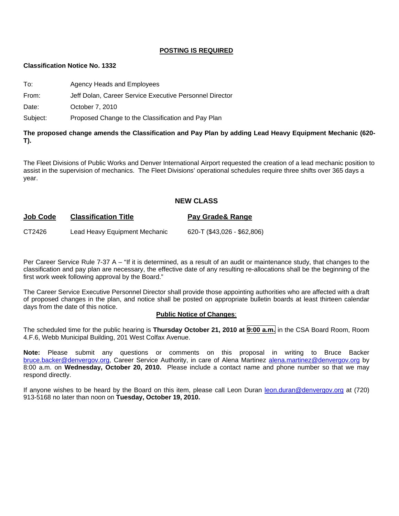#### **POSTING IS REQUIRED**

#### **Classification Notice No. 1332**

To: Agency Heads and Employees

From: Jeff Dolan, Career Service Executive Personnel Director

Date: **October 7, 2010** 

Subject: Proposed Change to the Classification and Pay Plan

**The proposed change amends the Classification and Pay Plan by adding Lead Heavy Equipment Mechanic (620- T).** 

The Fleet Divisions of Public Works and Denver International Airport requested the creation of a lead mechanic position to assist in the supervision of mechanics. The Fleet Divisions' operational schedules require three shifts over 365 days a year.

#### **NEW CLASS**

| <b>Job Code</b> | <b>Classification Title</b>   | Pay Grade& Range            |  |
|-----------------|-------------------------------|-----------------------------|--|
| CT2426          | Lead Heavy Equipment Mechanic | 620-T (\$43,026 - \$62,806) |  |

Per Career Service Rule 7-37 A – "If it is determined, as a result of an audit or maintenance study, that changes to the classification and pay plan are necessary, the effective date of any resulting re-allocations shall be the beginning of the first work week following approval by the Board."

The Career Service Executive Personnel Director shall provide those appointing authorities who are affected with a draft of proposed changes in the plan, and notice shall be posted on appropriate bulletin boards at least thirteen calendar days from the date of this notice.

#### **Public Notice of Changes**:

The scheduled time for the public hearing is **Thursday October 21, 2010 at 9:00 a.m.** in the CSA Board Room, Room 4.F.6, Webb Municipal Building, 201 West Colfax Avenue.

**Note:** Please submit any questions or comments on this proposal in writing to Bruce Backer [bruce.backer@denvergov.org,](mailto:bruce.backer@denvergov.org) Career Service Authority, in care of Alena Martinez [alena.martinez@denvergov.org](mailto:alena.martinez@denvergov.org) by 8:00 a.m. on **Wednesday, October 20, 2010.** Please include a contact name and phone number so that we may respond directly.

If anyone wishes to be heard by the Board on this item, please call Leon Duran [leon.duran@denvergov.org](mailto:leon.duran@denvergov.org) at (720) 913-5168 no later than noon on **Tuesday, October 19, 2010.**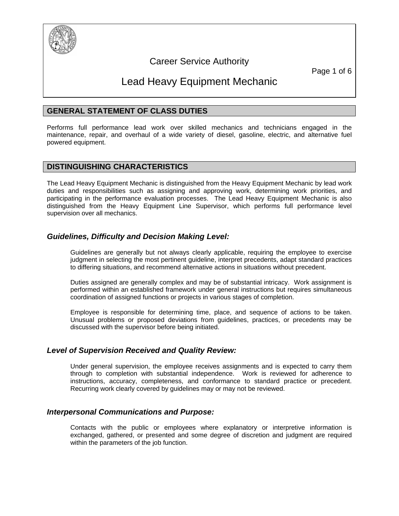

# Career Service Authority

Page 1 of 6

# Lead Heavy Equipment Mechanic

# **GENERAL STATEMENT OF CLASS DUTIES**

Performs full performance lead work over skilled mechanics and technicians engaged in the maintenance, repair, and overhaul of a wide variety of diesel, gasoline, electric, and alternative fuel powered equipment.

#### **DISTINGUISHING CHARACTERISTICS**

The Lead Heavy Equipment Mechanic is distinguished from the Heavy Equipment Mechanic by lead work duties and responsibilities such as assigning and approving work, determining work priorities, and participating in the performance evaluation processes. The Lead Heavy Equipment Mechanic is also distinguished from the Heavy Equipment Line Supervisor, which performs full performance level supervision over all mechanics.

# *Guidelines, Difficulty and Decision Making Level:*

Guidelines are generally but not always clearly applicable, requiring the employee to exercise judgment in selecting the most pertinent guideline, interpret precedents, adapt standard practices to differing situations, and recommend alternative actions in situations without precedent.

Duties assigned are generally complex and may be of substantial intricacy. Work assignment is performed within an established framework under general instructions but requires simultaneous coordination of assigned functions or projects in various stages of completion.

Employee is responsible for determining time, place, and sequence of actions to be taken. Unusual problems or proposed deviations from guidelines, practices, or precedents may be discussed with the supervisor before being initiated.

# *Level of Supervision Received and Quality Review:*

Under general supervision, the employee receives assignments and is expected to carry them through to completion with substantial independence. Work is reviewed for adherence to instructions, accuracy, completeness, and conformance to standard practice or precedent. Recurring work clearly covered by guidelines may or may not be reviewed.

# *Interpersonal Communications and Purpose:*

Contacts with the public or employees where explanatory or interpretive information is exchanged, gathered, or presented and some degree of discretion and judgment are required within the parameters of the job function.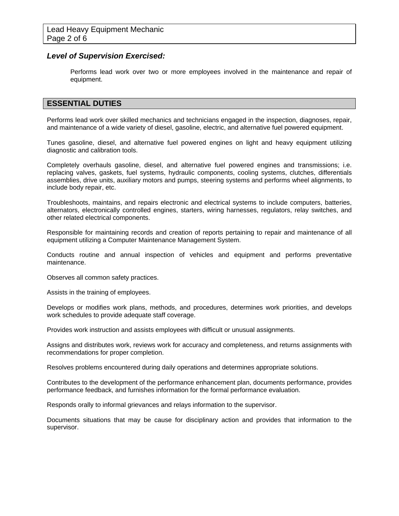#### *Level of Supervision Exercised:*

Performs lead work over two or more employees involved in the maintenance and repair of equipment.

# **ESSENTIAL DUTIES**

Performs lead work over skilled mechanics and technicians engaged in the inspection, diagnoses, repair, and maintenance of a wide variety of diesel, gasoline, electric, and alternative fuel powered equipment.

Tunes gasoline, diesel, and alternative fuel powered engines on light and heavy equipment utilizing diagnostic and calibration tools.

Completely overhauls gasoline, diesel, and alternative fuel powered engines and transmissions; i.e. replacing valves, gaskets, fuel systems, hydraulic components, cooling systems, clutches, differentials assemblies, drive units, auxiliary motors and pumps, steering systems and performs wheel alignments, to include body repair, etc.

Troubleshoots, maintains, and repairs electronic and electrical systems to include computers, batteries, alternators, electronically controlled engines, starters, wiring harnesses, regulators, relay switches, and other related electrical components.

Responsible for maintaining records and creation of reports pertaining to repair and maintenance of all equipment utilizing a Computer Maintenance Management System.

Conducts routine and annual inspection of vehicles and equipment and performs preventative maintenance.

Observes all common safety practices.

Assists in the training of employees.

Develops or modifies work plans, methods, and procedures, determines work priorities, and develops work schedules to provide adequate staff coverage.

Provides work instruction and assists employees with difficult or unusual assignments.

Assigns and distributes work, reviews work for accuracy and completeness, and returns assignments with recommendations for proper completion.

Resolves problems encountered during daily operations and determines appropriate solutions.

Contributes to the development of the performance enhancement plan, documents performance, provides performance feedback, and furnishes information for the formal performance evaluation.

Responds orally to informal grievances and relays information to the supervisor.

Documents situations that may be cause for disciplinary action and provides that information to the supervisor.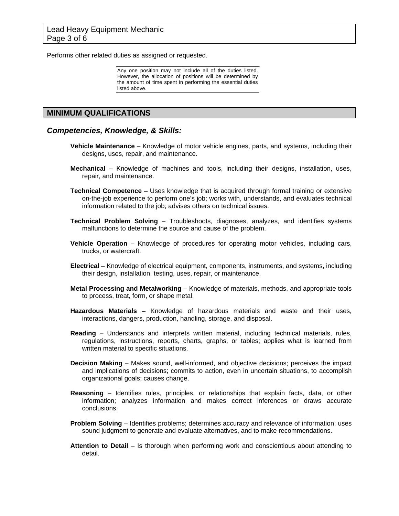Performs other related duties as assigned or requested.

Any one position may not include all of the duties listed. However, the allocation of positions will be determined by the amount of time spent in performing the essential duties listed above.

#### **MINIMUM QUALIFICATIONS**

#### *Competencies, Knowledge, & Skills:*

- **Vehicle Maintenance** Knowledge of motor vehicle engines, parts, and systems, including their designs, uses, repair, and maintenance.
- **Mechanical** Knowledge of machines and tools, including their designs, installation, uses, repair, and maintenance.
- **Technical Competence** Uses knowledge that is acquired through formal training or extensive on-the-job experience to perform one's job; works with, understands, and evaluates technical information related to the job; advises others on technical issues.
- **Technical Problem Solving** Troubleshoots, diagnoses, analyzes, and identifies systems malfunctions to determine the source and cause of the problem.
- **Vehicle Operation** Knowledge of procedures for operating motor vehicles, including cars, trucks, or watercraft.
- **Electrical** Knowledge of electrical equipment, components, instruments, and systems, including their design, installation, testing, uses, repair, or maintenance.
- **Metal Processing and Metalworking** Knowledge of materials, methods, and appropriate tools to process, treat, form, or shape metal.
- **Hazardous Materials** Knowledge of hazardous materials and waste and their uses, interactions, dangers, production, handling, storage, and disposal.
- **Reading**  Understands and interprets written material, including technical materials, rules, regulations, instructions, reports, charts, graphs, or tables; applies what is learned from written material to specific situations.
- **Decision Making** Makes sound, well-informed, and objective decisions; perceives the impact and implications of decisions; commits to action, even in uncertain situations, to accomplish organizational goals; causes change.
- **Reasoning** Identifies rules, principles, or relationships that explain facts, data, or other information; analyzes information and makes correct inferences or draws accurate conclusions.
- **Problem Solving** Identifies problems; determines accuracy and relevance of information; uses sound judgment to generate and evaluate alternatives, and to make recommendations.
- **Attention to Detail** Is thorough when performing work and conscientious about attending to detail.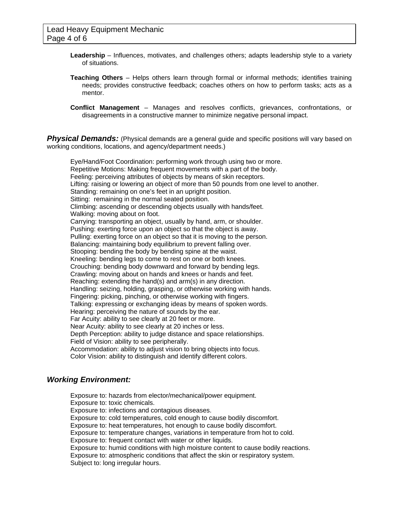- **Leadership** Influences, motivates, and challenges others; adapts leadership style to a variety of situations.
- **Teaching Others** Helps others learn through formal or informal methods; identifies training needs; provides constructive feedback; coaches others on how to perform tasks; acts as a mentor.

**Conflict Management** – Manages and resolves conflicts, grievances, confrontations, or disagreements in a constructive manner to minimize negative personal impact.

**Physical Demands:** (Physical demands are a general guide and specific positions will vary based on working conditions, locations, and agency/department needs.)

Eye/Hand/Foot Coordination: performing work through using two or more. Repetitive Motions: Making frequent movements with a part of the body. Feeling: perceiving attributes of objects by means of skin receptors. Lifting: raising or lowering an object of more than 50 pounds from one level to another. Standing: remaining on one's feet in an upright position. Sitting: remaining in the normal seated position. Climbing: ascending or descending objects usually with hands/feet. Walking: moving about on foot. Carrying: transporting an object, usually by hand, arm, or shoulder. Pushing: exerting force upon an object so that the object is away. Pulling: exerting force on an object so that it is moving to the person. Balancing: maintaining body equilibrium to prevent falling over. Stooping: bending the body by bending spine at the waist. Kneeling: bending legs to come to rest on one or both knees. Crouching: bending body downward and forward by bending legs. Crawling: moving about on hands and knees or hands and feet. Reaching: extending the hand(s) and arm(s) in any direction. Handling: seizing, holding, grasping, or otherwise working with hands. Fingering: picking, pinching, or otherwise working with fingers. Talking: expressing or exchanging ideas by means of spoken words. Hearing: perceiving the nature of sounds by the ear. Far Acuity: ability to see clearly at 20 feet or more. Near Acuity: ability to see clearly at 20 inches or less. Depth Perception: ability to judge distance and space relationships. Field of Vision: ability to see peripherally. Accommodation: ability to adjust vision to bring objects into focus. Color Vision: ability to distinguish and identify different colors.

# *Working Environment:*

Exposure to: hazards from elector/mechanical/power equipment. Exposure to: toxic chemicals. Exposure to: infections and contagious diseases. Exposure to: cold temperatures, cold enough to cause bodily discomfort. Exposure to: heat temperatures, hot enough to cause bodily discomfort. Exposure to: temperature changes, variations in temperature from hot to cold. Exposure to: frequent contact with water or other liquids. Exposure to: humid conditions with high moisture content to cause bodily reactions. Exposure to: atmospheric conditions that affect the skin or respiratory system. Subject to: long irregular hours.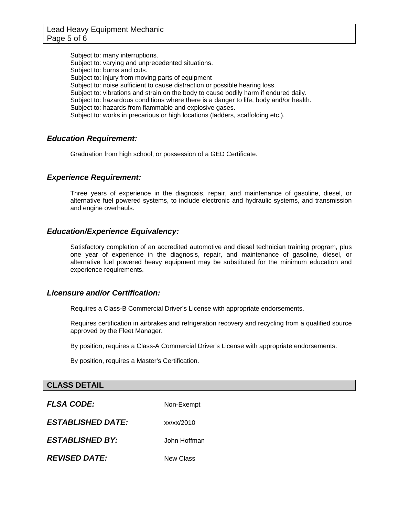Subject to: many interruptions. Subject to: varying and unprecedented situations. Subject to: burns and cuts. Subject to: injury from moving parts of equipment Subject to: noise sufficient to cause distraction or possible hearing loss. Subject to: vibrations and strain on the body to cause bodily harm if endured daily. Subject to: hazardous conditions where there is a danger to life, body and/or health. Subject to: hazards from flammable and explosive gases. Subject to: works in precarious or high locations (ladders, scaffolding etc.).

# *Education Requirement:*

Graduation from high school, or possession of a GED Certificate.

# *Experience Requirement:*

Three years of experience in the diagnosis, repair, and maintenance of gasoline, diesel, or alternative fuel powered systems, to include electronic and hydraulic systems, and transmission and engine overhauls.

#### *Education/Experience Equivalency:*

Satisfactory completion of an accredited automotive and diesel technician training program, plus one year of experience in the diagnosis, repair, and maintenance of gasoline, diesel, or alternative fuel powered heavy equipment may be substituted for the minimum education and experience requirements.

#### *Licensure and/or Certification:*

Requires a Class-B Commercial Driver's License with appropriate endorsements.

Requires certification in airbrakes and refrigeration recovery and recycling from a qualified source approved by the Fleet Manager.

By position, requires a Class-A Commercial Driver's License with appropriate endorsements.

By position, requires a Master's Certification.

#### **CLASS DETAIL**

**FLSA CODE:** Non-Exempt

*ESTABLISHED DATE:* xx/xx/2010

*ESTABLISHED BY:* John Hoffman

*REVISED DATE:* New Class